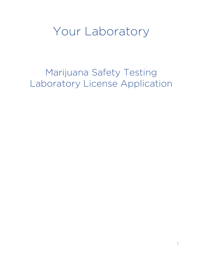## Your Laboratory

Marijuana Safety Testing Laboratory License Application